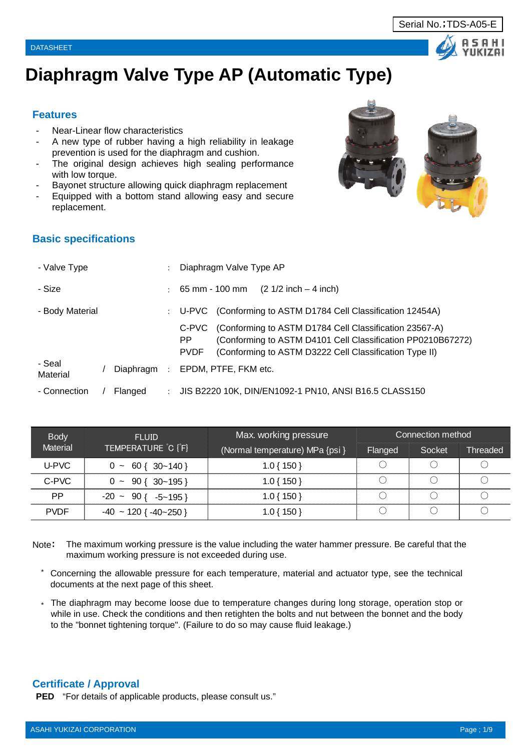



# **Diaphragm Valve Type AP (Automatic Type)**

## **Features**

- Near-Linear flow characteristics
- A new type of rubber having a high reliability in leakage prevention is used for the diaphragm and cushion.
- The original design achieves high sealing performance with low torque.
- Bayonet structure allowing quick diaphragm replacement
- Equipped with a bottom stand allowing easy and secure replacement.



# **Basic specifications**

| - Valve Type       |           | $\bullet$ | Diaphragm Valve Type AP                                                                                                                                                                                        |
|--------------------|-----------|-----------|----------------------------------------------------------------------------------------------------------------------------------------------------------------------------------------------------------------|
| - Size             |           | ÷         | $(2 \frac{1}{2} \text{ inch} - 4 \text{ inch})$<br>$65$ mm - 100 mm                                                                                                                                            |
| - Body Material    |           | ÷         | U-PVC (Conforming to ASTM D1784 Cell Classification 12454A)                                                                                                                                                    |
|                    |           |           | (Conforming to ASTM D1784 Cell Classification 23567-A)<br>C-PVC<br>(Conforming to ASTM D4101 Cell Classification PP0210B67272)<br>PP.<br>(Conforming to ASTM D3222 Cell Classification Type II)<br><b>PVDF</b> |
| - Seal<br>Material | Diaphragm |           | EPDM, PTFE, FKM etc.                                                                                                                                                                                           |
| - Connection       | Flanged   |           | JIS B2220 10K, DIN/EN1092-1 PN10, ANSI B16.5 CLASS150                                                                                                                                                          |

| <b>Body</b> | <b>FLUID</b>                      | Max. working pressure           |         | Connection method |                       |
|-------------|-----------------------------------|---------------------------------|---------|-------------------|-----------------------|
| Material    | TEMPERATURE C [F]                 | (Normal temperature) MPa {psi } | Flanged | Socket            | Threaded <sup>1</sup> |
| U-PVC       | $0 \sim 60$ { 30~140 }            | $1.0\{150\}$                    |         |                   |                       |
| C-PVC       | $0 \sim 90 \{ 30 \sim 195 \}$     | $1.0\{150\}$                    |         |                   |                       |
| <b>PP</b>   | $-20 \sim 90$ { $-5 \sim 195$ }   | $1.0\{150\}$                    |         |                   |                       |
| <b>PVDF</b> | $-40 \sim 120$ { $-40 \sim 250$ } | $.0$ { 150 }                    |         |                   |                       |

Note: The maximum working pressure is the value including the water hammer pressure. Be careful that the maximum working pressure is not exceeded during use.

- \* Concerning the allowable pressure for each temperature, material and actuator type, see the technical documents at the next page of this sheet.
- \* The diaphragm may become loose due to temperature changes during long storage, operation stop or while in use. Check the conditions and then retighten the bolts and nut between the bonnet and the body to the "bonnet tightening torque". (Failure to do so may cause fluid leakage.)

## **Certificate / Approval**

**PED** "For details of applicable products, please consult us."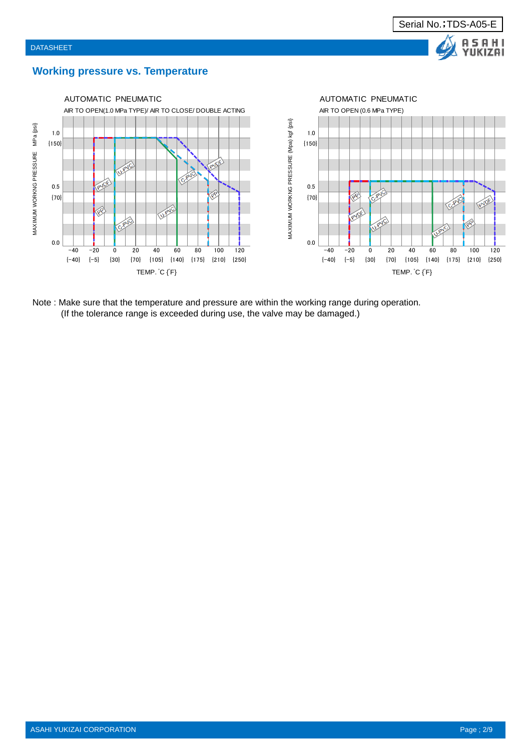

## **Working pressure vs. Temperature**



Note : Make sure that the temperature and pressure are within the working range during operation. (If the tolerance range is exceeded during use, the valve may be damaged.)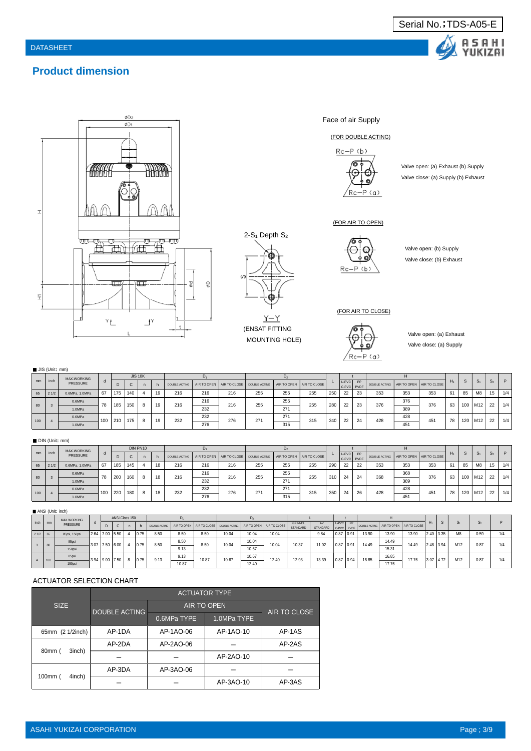

# **Product dimension**



Face of air Supply

#### (FOR DOUBLE ACTING)



Valve open: (a) Exhaust (b) Supply Valve close: (a) Supply (b) Exhaust

#### (FOR AIR TO OPEN)



Valve open: (b) Supply Valve close: (b) Exhaust

#### (FOR AIR TO CLOSE)



Valve open: (a) Exhaust Valve close: (a) Supply

|     | $\blacksquare$ JIS (Unit; mm) |                |     |     |                |   |    |               |               |     |                                        |                                                           |                            |     |                        |    |                                        |                                                   |     |       |              |                |                |     |
|-----|-------------------------------|----------------|-----|-----|----------------|---|----|---------------|---------------|-----|----------------------------------------|-----------------------------------------------------------|----------------------------|-----|------------------------|----|----------------------------------------|---------------------------------------------------|-----|-------|--------------|----------------|----------------|-----|
|     |                               | MAX.WORKING    |     |     | <b>JIS 10K</b> |   |    |               |               |     |                                        |                                                           |                            |     |                        |    |                                        |                                                   |     |       |              |                |                |     |
| mm  | inch                          | PRESSURE       |     | D   | C              |   |    | DOUBLE ACTING |               |     | AIR TO OPEN AIR TO CLOSE DOUBLE ACTING |                                                           | AIR TO OPEN   AIR TO CLOSE |     | U-PVC PP<br>C-PVC PVDF |    | DOUBLE ACTING AIR TO OPEN AIR TO CLOSE |                                                   |     | $H_1$ | <sub>S</sub> | S <sub>1</sub> | S <sub>2</sub> | D   |
| 65  | 21/2                          | 0.6MPa, 1.0MPa | 67  | 175 | 140            |   | 19 | 216           | 216           | 216 | 255                                    | 255                                                       | 255                        | 250 | 22                     | 23 | 353                                    | 353                                               | 353 | 61    | 85           | M8             | 15             | 1/4 |
| 80  |                               | 0.6MPa         | 78  | 185 | 150            | 8 | 19 | 216           | 216<br>______ | 216 | 255                                    | 255                                                       | 255                        | 280 | 22                     | 23 | 376                                    | 376<br>----------                                 | 376 | 63    |              | 100 M12        | 22             | 1/4 |
|     |                               | 1.0MPa         |     |     |                |   |    |               | 232           |     |                                        | 271                                                       |                            |     |                        |    |                                        | 389                                               |     |       |              |                |                |     |
|     |                               | 0.6MPa         | 100 | 210 | 175            | 8 | 19 | 232           | 232           | 276 | 271                                    | 271<br><b><i>CONTINUES OF CONTINUES OF CONTINUES.</i></b> | 315                        | 340 | 22                     | 24 | 428                                    | 428<br><b>CONTRACTOR CONTRACTOR IN CONTRACTOR</b> | 451 | 78    |              | $120$ M12      | 22             | 1/4 |
| 100 |                               | 1.0MPa         |     |     |                |   |    |               | 276           |     |                                        | 315                                                       |                            |     |                        |    |                                        | 451                                               |     |       |              |                |                |     |

(ENSAT FITTING MOUNTING HOLE)

 $Y-Y$ 

 $2-S_1$  Depth  $S_2$ 

 $\mathcal{U}$ 

∖∌

#### ■ DIN (Unit: mm)

|     |      | MAX.WORKING    |     |     |     | DIN PN10 |    |     |     |     |                                                            |     |                          |     |         |                  |               |                 |                          |    |     |                 |                |     |
|-----|------|----------------|-----|-----|-----|----------|----|-----|-----|-----|------------------------------------------------------------|-----|--------------------------|-----|---------|------------------|---------------|-----------------|--------------------------|----|-----|-----------------|----------------|-----|
| mm  | inch | PRESSURE       | u   | D   |     |          |    |     |     |     | DOUBLE ACTING   AIR TO OPEN   AIR TO CLOSE   DOUBLE ACTING |     | AIR TO OPEN AIR TO CLOSE |     | $U-PVC$ | PP<br>C-PVC PVDF | DOUBLE ACTING |                 | AIR TO OPEN AIR TO CLOSE | н. | -S  | S <sub>1</sub>  | S <sub>2</sub> |     |
| 65  | 21/2 | 0.6MPa, 1.0MPa | 67  | 185 | 145 |          | 18 | 216 | 216 | 216 | 255                                                        | 255 | 255                      | 290 | 22      | 22               | 353           | 353             | 353                      | 61 | 85  | M8              | 15             | 1/4 |
|     |      | 0.6MPa         | 78  | 200 | 160 | -8       | 18 | 216 | 216 | 216 | 255                                                        | 255 | 255                      | 310 |         | 24               | 368           | 368<br>________ | 376                      | 63 | 100 | M <sub>12</sub> | 22             | 1/4 |
| 80  |      | 1.0MPa         |     |     |     |          |    |     | 232 |     |                                                            | 271 |                          |     |         |                  |               | 389             |                          |    |     |                 |                |     |
|     |      | 0.6MPa         | 100 | 220 | 180 | 8        | 18 | 232 | 232 | 276 | 271                                                        | 271 | 315                      | 350 |         | 26               | 428           | 428             | 451                      | 78 | 120 | M12             | 22             | 1/4 |
| 100 |      | 1.0MPa         |     |     |     |          |    |     | 276 |     |                                                            | 315 |                          |     |         |                  |               | 451             |                          |    |     |                 |                |     |

#### ■ ANSI (Unit: inch)

|           |     | MAX.WORKING   |                      | ANSI Class 150 |   |      |      |       |       |                                                                               |                   |       |          |                                                                  |          |       |       |                   |       |       |             |                 |      |  |
|-----------|-----|---------------|----------------------|----------------|---|------|------|-------|-------|-------------------------------------------------------------------------------|-------------------|-------|----------|------------------------------------------------------------------|----------|-------|-------|-------------------|-------|-------|-------------|-----------------|------|--|
| inch      | mm  | PRESSURE      | D                    |                |   |      |      |       |       | DOUBLE ACTING AIR TO OPEN AIR TO CLOSE DOUBLE ACTING AIR TO OPEN AIR TO CLOSE |                   |       | GRINNEL  | AV<br>STANDARD C-PVC PVDF DOUBLE ACTING AIR TO OPEN AIR TO CLOSE | U-PVC PP |       |       |                   |       | $H_1$ |             | $S_1$           |      |  |
|           |     |               |                      |                |   |      |      |       |       |                                                                               |                   |       | STANDARD |                                                                  |          |       |       |                   |       |       |             |                 |      |  |
| $21/2$ 65 |     | 85psi, 150psi | 2.64   7.00   5.50   |                |   | 0.75 | 8.50 | 8.50  | 8.50  | 10.04                                                                         | 10.04             | 10.04 |          | 9.84                                                             | 10.87    | 10.91 | 13.90 | 13.90             | 13.90 |       | $2.40$ 3.35 | M8              | 0.59 |  |
| 80        |     | 85psi         | $3.07$ 7.50 6.00     |                |   | 0.75 | 8.50 | 8.50  | 8.50  | 10.04                                                                         | 10.04<br>______   | 10.04 | 10.37    | 11.02                                                            | 10.87    | 0.91  | 14.49 | 14.49<br>______   | 14.49 |       | 2.48 3.94   | M <sub>12</sub> | 0.87 |  |
|           |     | 150psi        |                      |                |   |      |      | 9.13  |       |                                                                               | 10.67             |       |          |                                                                  |          |       |       | 15.31             |       |       |             |                 |      |  |
|           | 100 | 85psi         | $3.94$   9.00   7.50 |                | 8 | 0.75 | 9.13 | 9.13  | 10.87 | 10.67                                                                         | 10.67<br>________ | 12.40 | 12.93    | 13.39                                                            | 10.87    | 0.94  | 16.85 | 16.85<br>________ | 17.76 |       | $3.07$ 4.72 | M12             | 0.87 |  |
|           |     | 150psi        |                      |                |   |      |      | 10.87 |       |                                                                               | 12.40             |       |          |                                                                  |          |       |       | 17.76             |       |       |             |                 |      |  |

#### ACTUATOR SELECTION CHART

|                    |                      |             | <b>ACTUATOR TYPE</b> |              |
|--------------------|----------------------|-------------|----------------------|--------------|
| <b>SIZE</b>        | <b>DOUBLE ACTING</b> |             | <b>AIR TO OPEN</b>   | AIR TO CLOSE |
|                    |                      | 0.6MPa TYPE | 1.0MPa TYPE          |              |
| 65mm (2 1/2inch)   | AP-1DA               | AP-1AO-06   | AP-1AO-10            | AP-1AS       |
|                    | AP-2DA               | AP-2AO-06   |                      | AP-2AS       |
| 3inch)<br>80mm (   |                      |             | AP-2AO-10            |              |
|                    | AP-3DA               | AP-3AO-06   |                      |              |
| $100$ mm<br>4inch) |                      |             | AP-3AO-10            | AP-3AS       |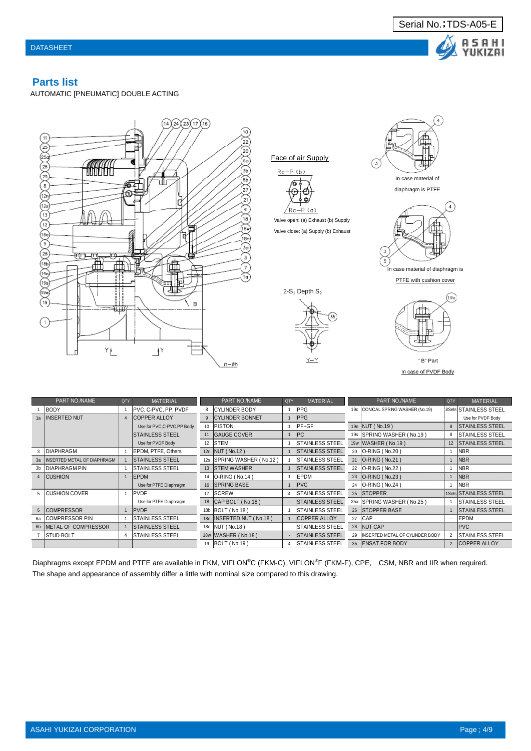

## **Parts list**

AUTOMATIC [PNEUMATIC] DOUBLE ACTING





|                | PART NO./NAME               | QTY | <b>MATERIAL</b>            |     | PART NO./NAME            | QTY            | <b>MATERIAL</b>         |                 | PART NO./NAME                          | QTY            | <b>MATERIAL</b>         |
|----------------|-----------------------------|-----|----------------------------|-----|--------------------------|----------------|-------------------------|-----------------|----------------------------------------|----------------|-------------------------|
|                | <b>BODY</b>                 |     | IPVC. C-PVC. PP. PVDF      | 8   | İCYLINDER BODY           |                | <b>IPPG</b>             | 19 <sub>c</sub> | CONICAL SPRING WASHER (No.19)          |                | 8Sets STAINLESS STEEL   |
| 1a             | <b>INSERTED NUT</b>         |     | <b>COPPER ALLOY</b>        | 9   | <b>CYLINDER BONNET</b>   |                | <b>PPG</b>              |                 |                                        |                | Use for PVDF Body       |
|                |                             |     | Use for PVC,C-PVC,PP Body  | 10  | PISTON                   |                | <b>PF+GF</b>            | 19n             | NUT (No.19)                            | 8              | <b>STAINLESS STEEL</b>  |
|                |                             |     | <b>STAINLESS STEEL</b>     | 11  | <b>GAUGE COVER</b>       |                | PC                      | 19s             | SPRING WASHER (No.19)                  | 8              | <b>STAINLESS STEEL</b>  |
|                |                             |     | Use for PVDF Body          | 12  | <b>ISTEM</b>             |                | <b>ISTAINLESS STEEL</b> |                 | 19w WASHER (No.19)                     | 12             | <b>STAINLESS STEEL</b>  |
|                | <b>IDIAPHRAGM</b>           |     | <b>IEPDM. PTFE. Others</b> |     | 12n   NUT (No.12)        |                | <b>ISTAINLESS STEEL</b> | 20              | <b>O-RING (No.20)</b>                  |                | INBR.                   |
| 3a             | INSERTED METAL OF DIAPHRAGM |     | <b>ISTAINLESS STEEL</b>    | 12s | SPRING WASHER (No.12)    |                | <b>STAINLESS STEEL</b>  | 21              | $ O-RING(No.21) $                      |                | <b>NBR</b>              |
| 3 <sub>b</sub> | DIAPHRAGM PIN               |     | <b>STAINLESS STEEL</b>     | 13  | <b>STEM WASHER</b>       |                | <b>STAINLESS STEEL</b>  | 22              | O-RING (No.22)                         |                | <b>NBR</b>              |
| $\Delta$       | <b>CUSHION</b>              |     | EPDM                       | 14  | O-RING (No.14)           |                | EPDM                    | 23              | O-RING (No.23)                         |                | <b>NBR</b>              |
|                |                             |     | Use for PTFE Diaphragm     | 16  | <b>SPRING BASE</b>       |                | <b>PVC</b>              | 24              | O-RING (No.24)                         |                | <b>NBR</b>              |
| 5              | <b>ICUSHION COVER</b>       |     | <b>PVDF</b>                | 17  | <b>SCREW</b>             | $\overline{4}$ | <b>STAINLESS STEEL</b>  |                 | 25 STOPPER                             |                | 1Sets STAINLESS STEEL   |
|                |                             |     | Use for PTFE Diaphragm     | 18  | [CAP BOLT (No.18)        | $\sim$         | <b>ISTAINLESS STEEL</b> |                 | 25a SPRING WASHER (No.25)              |                | <b>ISTAINLESS STEEL</b> |
| 6              | <b>COMPRESSOR</b>           |     | <b>PVDF</b>                |     | 18b BOLT (No.18)         |                | <b>ISTAINLESS STEEL</b> |                 | 26 STOPPER BASE                        |                | <b>ISTAINLESS STEEL</b> |
| 6a             | <b>COMPRESSOR PIN</b>       |     | <b>STAINLESS STEEL</b>     |     | 18e INSERTED NUT (No.18) |                | <b>COPPER ALLOY</b>     | 27              | CAP                                    |                | EPDM                    |
| 6 <sub>b</sub> | <b>IMETAL OF COMPRESSOR</b> |     | <b>STAINLESS STEEL</b>     |     | 18n   NUT (No.18)        |                | <b>ISTAINLESS STEEL</b> |                 | 28 NUT CAP                             |                | <b>PVC</b>              |
|                | <b>STUD BOLT</b>            |     | <b>STAINLESS STEEL</b>     |     | 18w WASHER (No.18)       |                | <b>STAINLESS STEEL</b>  | 29              | <b>INSERTED METAL OF CYLINDER BODY</b> | $\overline{2}$ | <b>STAINLESS STEEL</b>  |
|                |                             |     |                            | 19  | BOLT (No.19)             | 4              | <b>ISTAINLESS STEEL</b> | 35              | <b>IENSAT FOR BODY</b>                 | $\overline{2}$ | <b>COPPER ALLOY</b>     |

Diaphragms except EPDM and PTFE are available in FKM, VIFLON®C (FKM-C), VIFLON®F (FKM-F), CPE, CSM, NBR and IIR when required. The shape and appearance of assembly differ a little with nominal size compared to this drawing.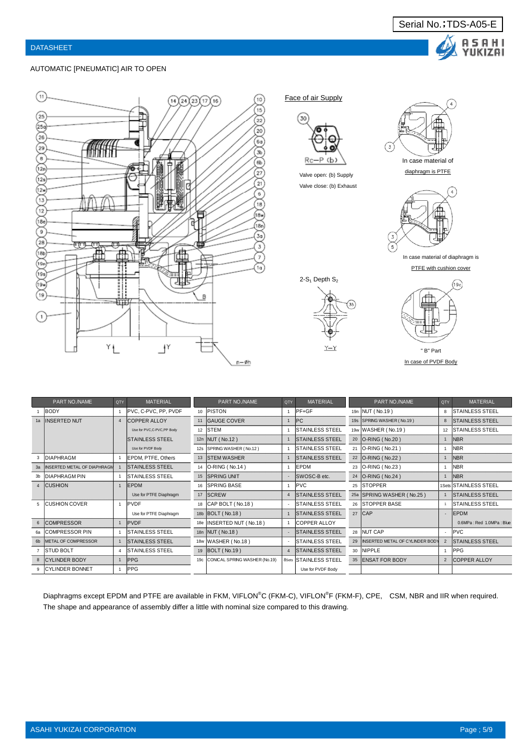

#### AUTOMATIC [PNEUMATIC] AIR TO OPEN



Face of air Supply



Valve open: (b) Supply Valve close: (b) Exhaust



In case material of diaphragm is **PTFE** with cushion cover

 $2-S_1$  Depth  $S_2$ 





" B" Part In case of PVDF Body

|                | PART NO./NAME               | QTY | <b>MATERIAL</b>           |     | PART NO./NAME                     | QTY | <b>MATERIAL</b>              |    | PART NO./NAME                   | <b>QTY</b>     | <b>MATERIAL</b>          |
|----------------|-----------------------------|-----|---------------------------|-----|-----------------------------------|-----|------------------------------|----|---------------------------------|----------------|--------------------------|
|                | BODY                        |     | PVC, C-PVC, PP, PVDF      | 10  | PISTON                            |     | $PF+GF$                      |    | 19n NUT (No.19)                 | 8              | <b>ISTAINLESS STEEL</b>  |
|                | 1a INSERTED NUT             |     | 4 COPPER ALLOY            |     | 11 GAUGE COVER                    |     | PC                           |    | 19s SPRING WASHER (No.19)       | 8              | <b>STAINLESS STEEL</b>   |
|                |                             |     | Use for PVC,C-PVC,PP Body | 12  | <b>STEM</b>                       |     | <b>STAINLESS STEEL</b>       |    | 19w WASHER (No.19)              | 12             | <b>ISTAINLESS STEEL</b>  |
|                |                             |     | <b>ISTAINLESS STEEL</b>   |     | 12n   NUT (No.12)                 |     | <b>STAINLESS STEEL</b>       |    | 20 O-RING (No.20)               |                | N <sub>BR</sub>          |
|                |                             |     | Use for PVDF Body         |     | 12s SPRING WASHER (No.12)         |     | <b>STAINLESS STEEL</b>       |    | 21 <b>O-RING</b> (No.21)        |                | <b>NBR</b>               |
|                | <b>DIAPHRAGM</b>            |     | <b>EPDM. PTFE. Others</b> |     | 13 STEM WASHER                    |     | <b>STAINLESS STEEL</b>       |    | 22 O-RING (No.22)               |                | <b>NBR</b>               |
|                | INSERTED METAL OF DIAPHRAGN |     | <b>ISTAINLESS STEEL</b>   |     | 14   O-RING (No.14)               |     | <b>EPDM</b>                  |    | 23 <b>O-RING</b> (No.23)        |                | <b>NBR</b>               |
|                | <b>DIAPHRAGM PIN</b>        |     | <b>STAINLESS STEEL</b>    |     | 15 SPRING UNIT                    |     | SWOSC-B etc.                 |    | 24   O-RING (No.24)             |                | <b>NBR</b>               |
| $\overline{4}$ | <b>CUSHION</b>              |     | <b>IEPDM</b>              | 16  | <b>SPRING BASE</b>                |     | <b>PVC</b>                   |    | 25 STOPPER                      |                | 1Sets STAINLESS STEEL    |
|                |                             |     | Use for PTFE Diaphragm    | 17  | <b>SCREW</b>                      |     | <b>STAINLESS STEEL</b>       |    | 25a SPRING WASHER (No.25)       |                | <b>STAINLESS STEEL</b>   |
|                | <b>CUSHION COVER</b>        |     | PVDF                      | 18  | CAP BOLT (No.18)                  |     | <b>STAINLESS STEEL</b>       |    | 26 STOPPER BASE                 |                | <b>STAINLESS STEEL</b>   |
|                |                             |     | Use for PTFE Diaphragm    |     | 18b BOLT (No.18)                  |     | <b>STAINLESS STEEL</b>       |    | 27 CAP                          |                | EPDM                     |
| 6              | <b>COMPRESSOR</b>           |     | PVDF                      | 18e | INSERTED NUT (No.18)              |     | <b>ICOPPER ALLOY</b>         |    |                                 |                | 0.6MPa: Red 1.0MPa: Blue |
| 6a             | <b>COMPRESSOR PIN</b>       |     | <b>STAINLESS STEEL</b>    |     | 18n NUT (No.18)                   |     | <b>STAINLESS STEEL</b>       |    | 28 NUT CAP                      |                | <b>IPVC</b>              |
| 6 <sub>b</sub> | METAL OF COMPRESSOR         |     | <b>ISTAINLESS STEEL</b>   |     | 18w WASHER (No.18)                |     | <b>STAINLESS STEEL</b>       | 29 | INSERTED METAL OF CYLINDER BODY | $\overline{2}$ | <b>STAINLESS STEEL</b>   |
|                | <b>STUD BOLT</b>            |     | <b>ISTAINLESS STEEL</b>   |     | 19   BOLT (No.19)                 |     | 4 STAINLESS STEEL            |    | 30 INIPPLE                      |                | <b>IPPG</b>              |
| 8              | <b>CYLINDER BODY</b>        |     | <b>PPG</b>                |     | 19c CONICAL SPRING WASHER (No.19) |     | <b>8Sets STAINLESS STEEL</b> |    | 35 ENSAT FOR BODY               | $\overline{2}$ | <b>COPPER ALLOY</b>      |
|                | <b>CYLINDER BONNET</b>      |     | <b>PPG</b>                |     |                                   |     | Use for PVDF Body            |    |                                 |                |                          |

Diaphragms except EPDM and PTFE are available in FKM, VIFLON®C (FKM-C), VIFLON®F (FKM-F), CPE, CSM, NBR and IIR when required. The shape and appearance of assembly differ a little with nominal size compared to this drawing.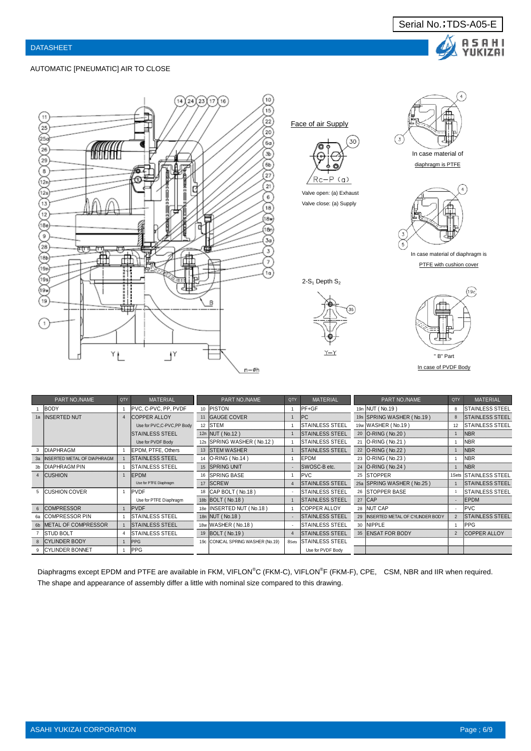

#### AUTOMATIC [PNEUMATIC] AIR TO CLOSE



|                | PART NO./NAME                  | <b>QTY</b>            | <b>MATERIAL</b>           | PART NO./NAME                     | QTY   | <b>MATERIAL</b>         | PART NO./NAME                      | QTY | <b>MATERIAL</b>        |
|----------------|--------------------------------|-----------------------|---------------------------|-----------------------------------|-------|-------------------------|------------------------------------|-----|------------------------|
|                | BODY                           |                       | PVC, C-PVC, PP, PVDF      | 10 PISTON                         |       | PF+GF                   | 19n NUT (No.19)                    |     | <b>STAINLESS STEEL</b> |
|                | 1a INSERTED NUT                | $\boldsymbol{\Delta}$ | <b>COPPER ALLOY</b>       | 11 GAUGE COVER                    |       | PC                      | 19s SPRING WASHER (No.19)          |     | <b>STAINLESS STEEL</b> |
|                |                                |                       | Use for PVC,C-PVC,PP Body | 12 STEM                           |       | <b>ISTAINLESS STEEL</b> | 19w WASHER (No.19)                 | 12  | <b>STAINLESS STEEL</b> |
|                |                                |                       | <b>STAINLESS STEEL</b>    | 12n NUT (No.12)                   |       | <b>STAINLESS STEEL</b>  | 20 O-RING (No.20)                  |     | <b>NBR</b>             |
|                |                                |                       | Use for PVDF Body         | 12s SPRING WASHER (No.12)         |       | <b>STAINLESS STEEL</b>  | 21 <b>O-RING</b> (No.21)           |     | <b>NBR</b>             |
|                | <b>DIAPHRAGM</b>               |                       | EPDM. PTFE, Others        | 13 <b>STEM WASHER</b>             |       | <b>STAINLESS STEEL</b>  | 22 O-RING (No.22)                  |     | <b>NBR</b>             |
|                | 3a INSERTED METAL OF DIAPHRAGM |                       | <b>ISTAINLESS STEEL</b>   | 14   O-RING (No.14)               |       | <b>IEPDM</b>            | 23   O-RING (No.23)                |     | <b>NBR</b>             |
| 3 <sub>b</sub> | <b>IDIAPHRAGM PIN</b>          |                       | <b>STAINLESS STEEL</b>    | 15 SPRING UNIT                    |       | SWOSC-B etc.            | 24   O-RING (No.24)                |     | <b>NBR</b>             |
|                | 4 CUSHION                      |                       | EPDM                      | 16 SPRING BASE                    |       | <b>PVC</b>              | 25 STOPPER                         |     | 1Sets STAINLESS STEEL  |
|                |                                |                       | Use for PTFE Diaphragm    | 17 SCREW                          |       | <b>STAINLESS STEEL</b>  | 25a SPRING WASHER (No.25)          |     | <b>STAINLESS STEEL</b> |
|                | 5 CUSHION COVER                |                       | PVDF                      | 18 CAP BOLT (No.18)               |       | <b>STAINLESS STEEL</b>  | 26 STOPPER BASE                    |     | <b>STAINLESS STEEL</b> |
|                |                                |                       | Use for PTFE Diaphragm    | 18b   BOLT (No.18)                |       | <b>STAINLESS STEEL</b>  | 27 CAP                             |     | EPDM                   |
|                | 6 COMPRESSOR                   |                       | <b>PVDF</b>               | 18e INSERTED NUT (No.18)          |       | <b>ICOPPER ALLOY</b>    | 28 NUT CAP                         |     | <b>PVC</b>             |
|                | <b>COMPRESSOR PIN</b>          |                       | <b>STAINLESS STEEL</b>    | 18n NUT (No.18)                   |       | <b>STAINLESS STEEL</b>  | 29 INSERTED METAL OF CYLINDER BODY |     | <b>STAINLESS STEEL</b> |
|                | 6b METAL OF COMPRESSOR         |                       | <b>STAINLESS STEEL</b>    | 18w WASHER (No.18)                |       | <b>ISTAINLESS STEEL</b> | 30 NIPPLE                          |     | PPG                    |
|                | <b>ISTUD BOLT</b>              |                       | <b>STAINLESS STEEL</b>    | 19   BOLT (No.19)                 |       | <b>STAINLESS STEEL</b>  | 35 ENSAT FOR BODY                  |     | <b>COPPER ALLOY</b>    |
|                | 8 CYLINDER BODY                |                       | <b>PPG</b>                | 19c CONICAL SPRING WASHER (No.19) | 8Sets | <b>STAINLESS STEEL</b>  |                                    |     |                        |
|                | 9 CYLINDER BONNET              |                       | <b>IPPG</b>               |                                   |       | Use for PVDF Body       |                                    |     |                        |

Diaphragms except EPDM and PTFE are available in FKM, VIFLON®C (FKM-C), VIFLON®F (FKM-F), CPE, CSM, NBR and IIR when required. The shape and appearance of assembly differ a little with nominal size compared to this drawing.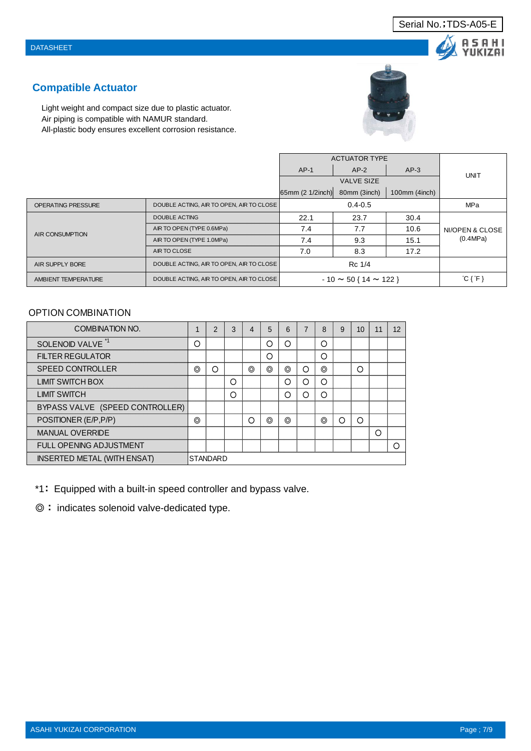# SAHI YUKIZAI

# **Compatible Actuator**

Light weight and compact size due to plastic actuator. Air piping is compatible with NAMUR standard. All-plastic body ensures excellent corrosion resistance.



|                           |                                          |                  | <b>ACTUATOR TYPE</b>            |               |                               |
|---------------------------|------------------------------------------|------------------|---------------------------------|---------------|-------------------------------|
|                           |                                          | $AP-1$           | $AP-2$                          | $AP-3$        | UNIT                          |
|                           |                                          |                  | <b>VALVE SIZE</b>               |               |                               |
|                           |                                          | 65mm (2 1/2inch) | 80mm (3inch)                    | 100mm (4inch) |                               |
| <b>OPERATING PRESSURE</b> | DOUBLE ACTING, AIR TO OPEN, AIR TO CLOSE |                  | $0.4 - 0.5$                     |               | MPa                           |
|                           | <b>DOUBLE ACTING</b>                     | 22.1             | 23.7                            | 30.4          |                               |
| AIR CONSUMPTION           | AIR TO OPEN (TYPE 0.6MPa)                | 7.4              | 7.7                             | 10.6          | NI/OPEN & CLOSE               |
|                           | AIR TO OPEN (TYPE 1.0MPa)                | 7.4              | 9.3                             | 15.1          | (0.4MPa)                      |
|                           | AIR TO CLOSE                             | 7.0              | 8.3                             | 17.2          |                               |
| <b>AIR SUPPLY BORE</b>    | DOUBLE ACTING, AIR TO OPEN, AIR TO CLOSE |                  | Rc 1/4                          |               |                               |
| AMBIENT TEMPERATURE       | DOUBLE ACTING, AIR TO OPEN, AIR TO CLOSE |                  | $-10 \sim 50$ { $14 \sim 122$ } |               | $^{\circ}$ C { $^{\circ}$ F } |

## OPTION COMBINATION

| COMBINATION NO.                    |   | 2               | 3 | 4 | 5 | 6 | 8 | 9 | 10 | 11 | 12 |
|------------------------------------|---|-----------------|---|---|---|---|---|---|----|----|----|
| SOLENOID VALVE <sup>*1</sup>       | ∩ |                 |   |   | Ω | ∩ | Ω |   |    |    |    |
| <b>FILTER REGULATOR</b>            |   |                 |   |   | Ω |   | ∩ |   |    |    |    |
| <b>SPEED CONTROLLER</b>            | ⊚ | ∩               |   | ⊚ | ⊚ | ⊚ | ⊚ |   | ∩  |    |    |
| LIMIT SWITCH BOX                   |   |                 | О |   |   |   | Ω |   |    |    |    |
| <b>LIMIT SWITCH</b>                |   |                 | O |   |   | ∩ | ∩ |   |    |    |    |
| BYPASS VALVE (SPEED CONTROLLER)    |   |                 |   |   |   |   |   |   |    |    |    |
| POSITIONER (E/P, P/P)              | ◎ |                 |   | Ω | ⊚ | ⊚ | ◎ | റ | ∩  |    |    |
| <b>MANUAL OVERRIDE</b>             |   |                 |   |   |   |   |   |   |    | ∩  |    |
| <b>FULL OPENING ADJUSTMENT</b>     |   |                 |   |   |   |   |   |   |    |    | ┌  |
| <b>INSERTED METAL (WITH ENSAT)</b> |   | <b>STANDARD</b> |   |   |   |   |   |   |    |    |    |

\*1: Equipped with a built-in speed controller and bypass valve.

◎ : indicates solenoid valve-dedicated type.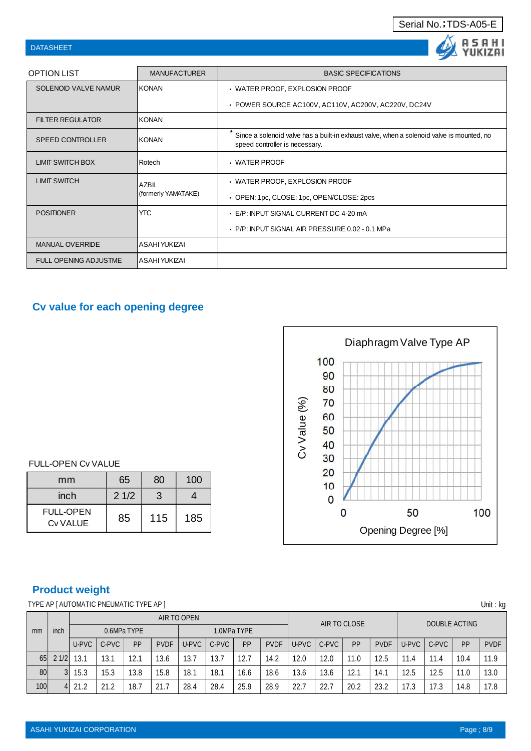|  | Serial No.; TDS-A05-E |
|--|-----------------------|
|  |                       |

## DATASHEET

| <b>DATASHEET</b>             |                     |                                                                                                                             |
|------------------------------|---------------------|-----------------------------------------------------------------------------------------------------------------------------|
| OPTION LIST                  | <b>MANUFACTURER</b> | <b>BASIC SPECIFICATIONS</b>                                                                                                 |
| SOLENOID VALVE NAMUR         | IKONAN              | · WATER PROOF, EXPLOSION PROOF                                                                                              |
|                              |                     | • POWER SOURCE AC100V, AC110V, AC200V, AC220V, DC24V                                                                        |
| <b>FILTER REGULATOR</b>      | KONAN               |                                                                                                                             |
| <b>SPEED CONTROLLER</b>      | <b>KONAN</b>        | Since a solenoid valve has a built-in exhaust valve, when a solenoid valve is mounted, no<br>speed controller is necessary. |
| <b>LIMIT SWITCH BOX</b>      | Rotech              | • WATER PROOF                                                                                                               |
| <b>LIMIT SWITCH</b>          | AZBIL               | • WATER PROOF, EXPLOSION PROOF                                                                                              |
|                              | (formerly YAMATAKE) | • OPEN: 1pc, CLOSE: 1pc, OPEN/CLOSE: 2pcs                                                                                   |
| <b>POSITIONER</b>            | <b>YTC</b>          | E/P: INPUT SIGNAL CURRENT DC 4-20 mA                                                                                        |
|                              |                     | P/P: INPUT SIGNAL AIR PRESSURE 0.02 - 0.1 MPa                                                                               |
| <b>MANUAL OVERRIDE</b>       | ASAHI YUKIZAI       |                                                                                                                             |
| <b>FULL OPENING ADJUSTME</b> | ASAHI YUKIZAI       |                                                                                                                             |

# **Cv value for each opening degree**



## FULL-OPEN Cv VALUE

| mm                           | 65   | 80  | 100 |  |  |
|------------------------------|------|-----|-----|--|--|
| inch                         | 21/2 | 3   |     |  |  |
| <b>FULL-OPEN</b><br>Cv VALUE | 85   | 115 | 185 |  |  |

# **Product weight**

TYPE AP [ AUTOMATIC PNEUMATIC TYPE AP ] Unit : kg

| m <sub>m</sub> |               | AIR TO OPEN |       |      |             |             |       |      | AIR TO CLOSE |       |       |      | DOUBLE ACTING |       |       |      |             |
|----------------|---------------|-------------|-------|------|-------------|-------------|-------|------|--------------|-------|-------|------|---------------|-------|-------|------|-------------|
|                | inch          | 0.6MPa TYPE |       |      |             | 1.0MPa TYPE |       |      |              |       |       |      |               |       |       |      |             |
|                |               | U-PVC       | C-PVC | PP   | <b>PVDF</b> | U-PVC       | C-PVC | PP   | <b>PVDF</b>  | U-PVC | C-PVC | PP   | <b>PVDF</b>   | U-PVC | C-PVC | PP   | <b>PVDF</b> |
| 65             | 21/2          | 13.1        | 13.1  | 12.7 | 13.6        | 13.7        | 13.7  | 12.7 | 14.2         | 12.0  | 12.0  | 11.0 | 12.5          | 11.4  | 11.4  | 10.4 | 11 Q        |
| 80             |               | 15.3        | 15.3  | 13.8 | 15.8        | 18.1        | 18.1  | 16.6 | 18.6         | 13.6  | 13.6  | 12.1 | 14.1          | 12.5  | 12.5  | 11.0 | 13.0        |
| 100            | $\frac{4}{ }$ | 21.2        | 21.2  | 18.7 | 21.7        | 28.4        | 28.4  | 25.9 | 28.9         | 22.7  | 22.7  | 20.2 | 23.2          | 17.3  | 17.3  | 14.8 | 17.8        |